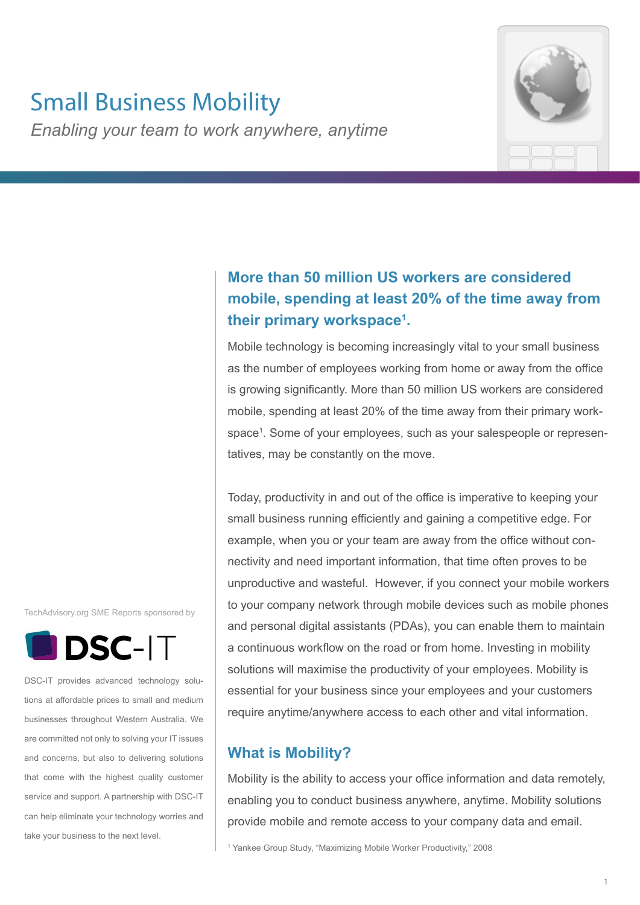# Small Business Mobility

*Enabling your team to work anywhere, anytime*

# **More than 50 million US workers are considered mobile, spending at least 20% of the time away from their primary workspace1 .**

Mobile technology is becoming increasingly vital to your small business as the number of employees working from home or away from the office is growing significantly. More than 50 million US workers are considered mobile, spending at least 20% of the time away from their primary workspace1 . Some of your employees, such as your salespeople or representatives, may be constantly on the move.

Today, productivity in and out of the office is imperative to keeping your small business running efficiently and gaining a competitive edge. For example, when you or your team are away from the office without connectivity and need important information, that time often proves to be unproductive and wasteful. However, if you connect your mobile workers to your company network through mobile devices such as mobile phones and personal digital assistants (PDAs), you can enable them to maintain a continuous workflow on the road or from home. Investing in mobility solutions will maximise the productivity of your employees. Mobility is essential for your business since your employees and your customers require anytime/anywhere access to each other and vital information.

# **What is Mobility?**

Mobility is the ability to access your office information and data remotely, enabling you to conduct business anywhere, anytime. Mobility solutions provide mobile and remote access to your company data and email.

1 Yankee Group Study, "Maximizing Mobile Worker Productivity," 2008

TechAdvisory.org SME Reports sponsored by



DSC-IT provides advanced technology solutions at affordable prices to small and medium businesses throughout Western Australia. We are committed not only to solving your IT issues and concerns, but also to delivering solutions that come with the highest quality customer service and support. A partnership with DSC-IT can help eliminate your technology worries and take your business to the next level.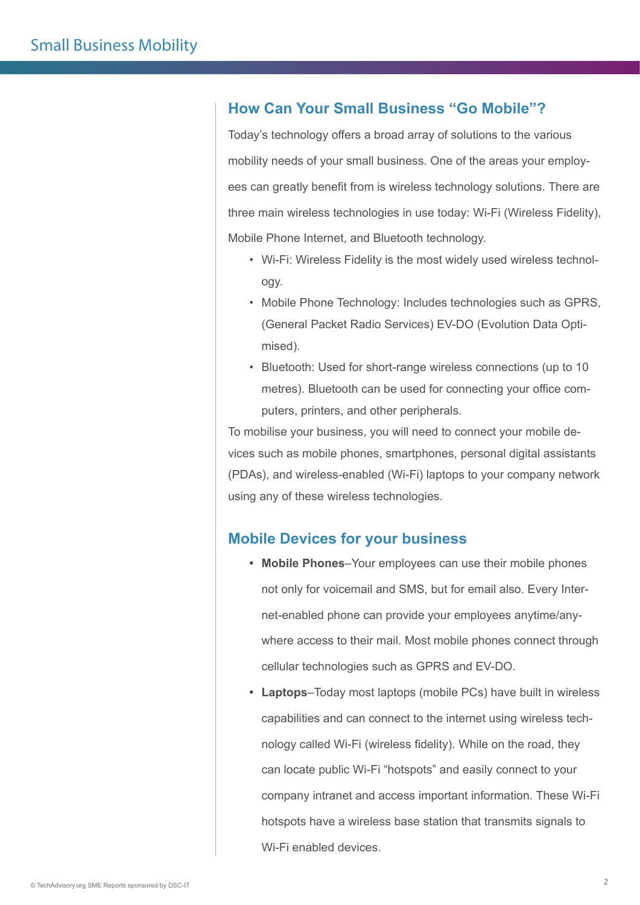### **How Can Your Small Business "Go Mobile"?**

Today's technology offers a broad array of solutions to the various mobility needs of your small business. One of the areas your employees can greatly benefit from is wireless technology solutions. There are three main wireless technologies in use today: Wi-Fi (Wireless Fidelity), Mobile Phone Internet, and Bluetooth technology.

- Wi-Fi: Wireless Fidelity is the most widely used wireless technology.
- Mobile Phone Technology: Includes technologies such as GPRS, (General Packet Radio Services) EV-DO (Evolution Data Optimised).
- Bluetooth: Used for short-range wireless connections (up to 10 metres). Bluetooth can be used for connecting your office computers, printers, and other peripherals.

To mobilise your business, you will need to connect your mobile devices such as mobile phones, smartphones, personal digital assistants (PDAs), and wireless-enabled (Wi-Fi) laptops to your company network using any of these wireless technologies.

### **Mobile Devices for your business**

- **• Mobile Phones**–Your employees can use their mobile phones not only for voicemail and SMS, but for email also. Every Internet-enabled phone can provide your employees anytime/anywhere access to their mail. Most mobile phones connect through cellular technologies such as GPRS and EV-DO.
- **• Laptops**–Today most laptops (mobile PCs) have built in wireless capabilities and can connect to the internet using wireless technology called Wi-Fi (wireless fidelity). While on the road, they can locate public Wi-Fi "hotspots" and easily connect to your company intranet and access important information. These Wi-Fi hotspots have a wireless base station that transmits signals to Wi-Fi enabled devices.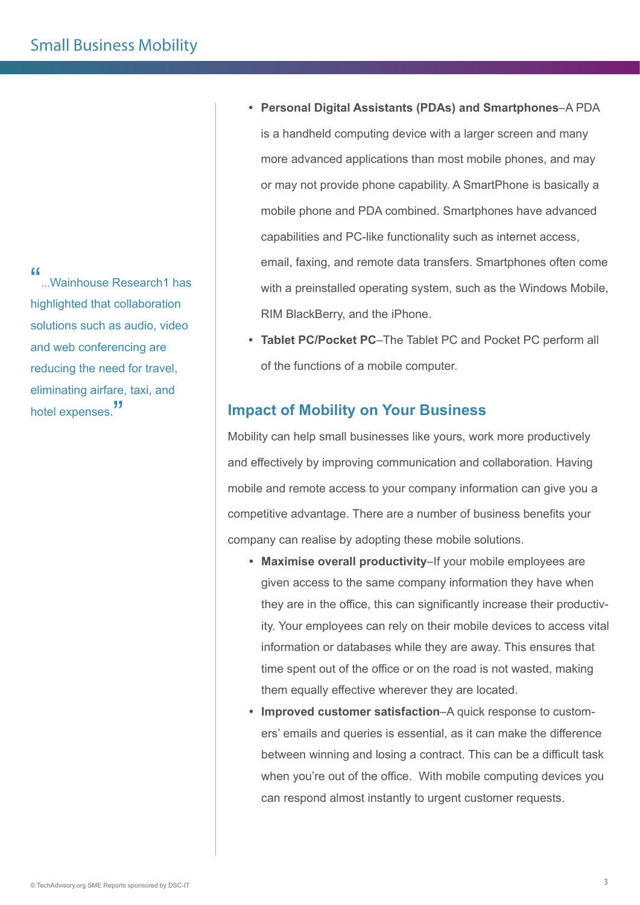"...Wainhouse Research1 has highlighted that collaboration solutions such as audio, video and web conferencing are reducing the need for travel, eliminating airfare, taxi, and hotel expenses.<sup>"</sup>

- **• Personal Digital Assistants (PDAs) and Smartphones**–A PDA is a handheld computing device with a larger screen and many more advanced applications than most mobile phones, and may or may not provide phone capability. A SmartPhone is basically a mobile phone and PDA combined. Smartphones have advanced capabilities and PC-like functionality such as internet access, email, faxing, and remote data transfers. Smartphones often come with a preinstalled operating system, such as the Windows Mobile, RIM BlackBerry, and the iPhone.
- **• Tablet PC/Pocket PC**–The Tablet PC and Pocket PC perform all of the functions of a mobile computer.

### **Impact of Mobility on Your Business**

Mobility can help small businesses like yours, work more productively and effectively by improving communication and collaboration. Having mobile and remote access to your company information can give you a competitive advantage. There are a number of business benefits your company can realise by adopting these mobile solutions.

- **• Maximise overall productivity**–If your mobile employees are given access to the same company information they have when they are in the office, this can significantly increase their productivity. Your employees can rely on their mobile devices to access vital information or databases while they are away. This ensures that time spent out of the office or on the road is not wasted, making them equally effective wherever they are located.
- **• Improved customer satisfaction**–A quick response to customers' emails and queries is essential, as it can make the difference between winning and losing a contract. This can be a difficult task when you're out of the office. With mobile computing devices you can respond almost instantly to urgent customer requests.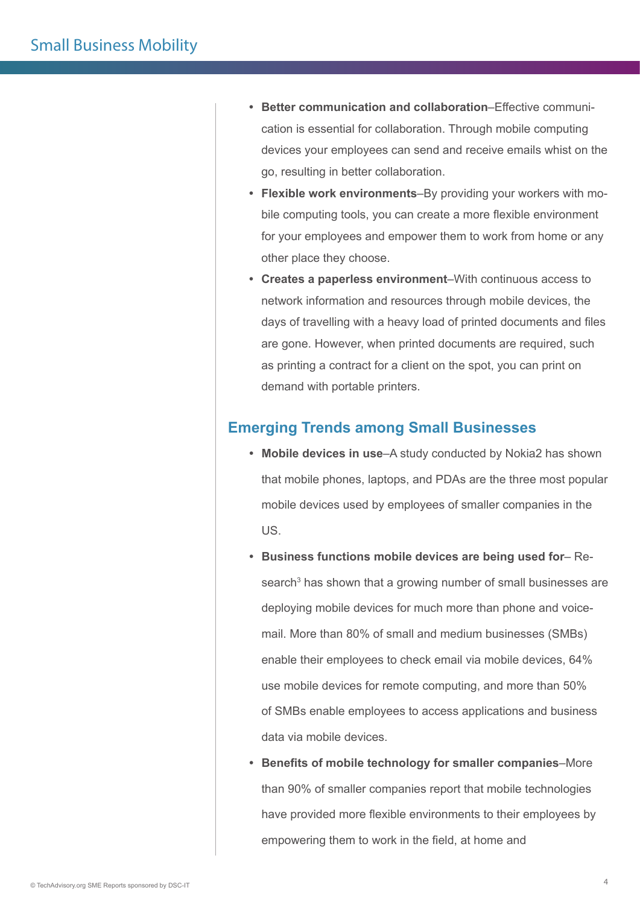- **• Better communication and collaboration**–Effective communication is essential for collaboration. Through mobile computing devices your employees can send and receive emails whist on the go, resulting in better collaboration.
- **• Flexible work environments**–By providing your workers with mobile computing tools, you can create a more flexible environment for your employees and empower them to work from home or any other place they choose.
- **• Creates a paperless environment**–With continuous access to network information and resources through mobile devices, the days of travelling with a heavy load of printed documents and files are gone. However, when printed documents are required, such as printing a contract for a client on the spot, you can print on demand with portable printers.

### **Emerging Trends among Small Businesses**

- **• Mobile devices in use**–A study conducted by Nokia2 has shown that mobile phones, laptops, and PDAs are the three most popular mobile devices used by employees of smaller companies in the US.
- **• Business functions mobile devices are being used for** Research<sup>3</sup> has shown that a growing number of small businesses are deploying mobile devices for much more than phone and voicemail. More than 80% of small and medium businesses (SMBs) enable their employees to check email via mobile devices, 64% use mobile devices for remote computing, and more than 50% of SMBs enable employees to access applications and business data via mobile devices.
- **• Benefits of mobile technology for smaller companies**–More than 90% of smaller companies report that mobile technologies have provided more flexible environments to their employees by empowering them to work in the field, at home and